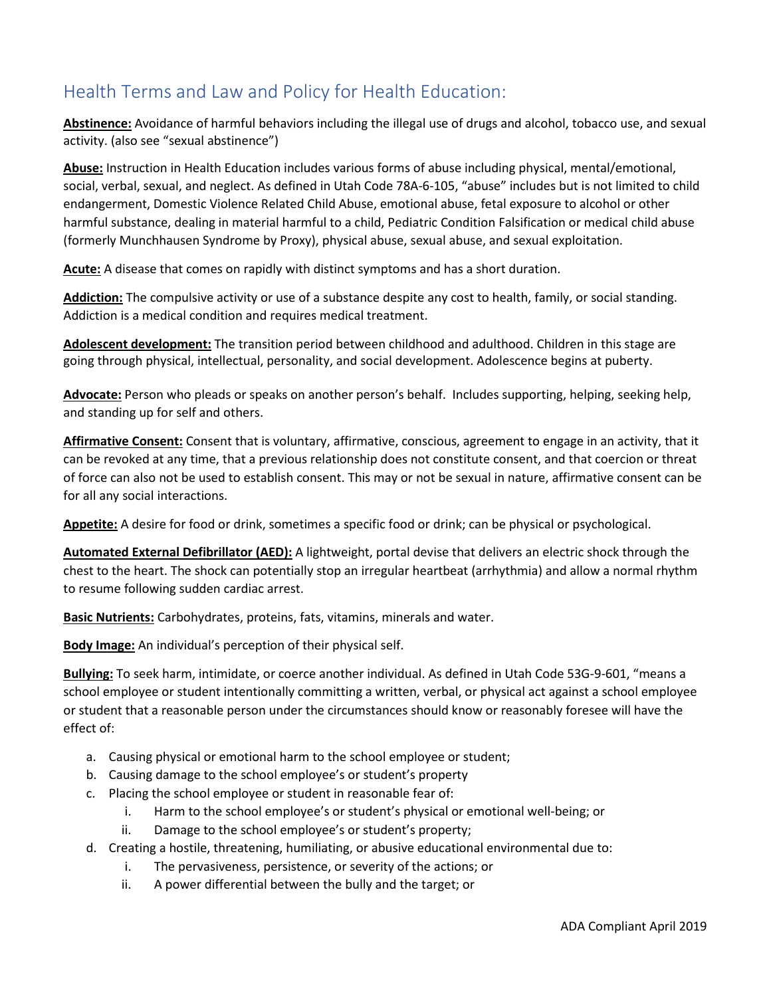## Health Terms and Law and Policy for Health Education:

**Abstinence:** Avoidance of harmful behaviors including the illegal use of drugs and alcohol, tobacco use, and sexual activity. (also see "sexual abstinence")

**Abuse:** Instruction in Health Education includes various forms of abuse including physical, mental/emotional, social, verbal, sexual, and neglect. As defined in Utah Code 78A-6-105, "abuse" includes but is not limited to child endangerment, Domestic Violence Related Child Abuse, emotional abuse, fetal exposure to alcohol or other harmful substance, dealing in material harmful to a child, Pediatric Condition Falsification or medical child abuse (formerly Munchhausen Syndrome by Proxy), physical abuse, sexual abuse, and sexual exploitation.

**Acute:** A disease that comes on rapidly with distinct symptoms and has a short duration.

**Addiction:** The compulsive activity or use of a substance despite any cost to health, family, or social standing. Addiction is a medical condition and requires medical treatment.

**Adolescent development:** The transition period between childhood and adulthood. Children in this stage are going through physical, intellectual, personality, and social development. Adolescence begins at puberty.

**Advocate:** Person who pleads or speaks on another person's behalf. Includes supporting, helping, seeking help, and standing up for self and others.

**Affirmative Consent:** Consent that is voluntary, affirmative, conscious, agreement to engage in an activity, that it can be revoked at any time, that a previous relationship does not constitute consent, and that coercion or threat of force can also not be used to establish consent. This may or not be sexual in nature, affirmative consent can be for all any social interactions.

**Appetite:** A desire for food or drink, sometimes a specific food or drink; can be physical or psychological.

**Automated External Defibrillator (AED):** A lightweight, portal devise that delivers an electric shock through the chest to the heart. The shock can potentially stop an irregular heartbeat (arrhythmia) and allow a normal rhythm to resume following sudden cardiac arrest.

**Basic Nutrients:** Carbohydrates, proteins, fats, vitamins, minerals and water.

**Body Image:** An individual's perception of their physical self.

**Bullying:** To seek harm, intimidate, or coerce another individual. As defined in Utah Code 53G-9-601, "means a school employee or student intentionally committing a written, verbal, or physical act against a school employee or student that a reasonable person under the circumstances should know or reasonably foresee will have the effect of:

- a. Causing physical or emotional harm to the school employee or student;
- b. Causing damage to the school employee's or student's property
- c. Placing the school employee or student in reasonable fear of:
	- i. Harm to the school employee's or student's physical or emotional well-being; or
	- ii. Damage to the school employee's or student's property;
- d. Creating a hostile, threatening, humiliating, or abusive educational environmental due to:
	- i. The pervasiveness, persistence, or severity of the actions; or
	- ii. A power differential between the bully and the target; or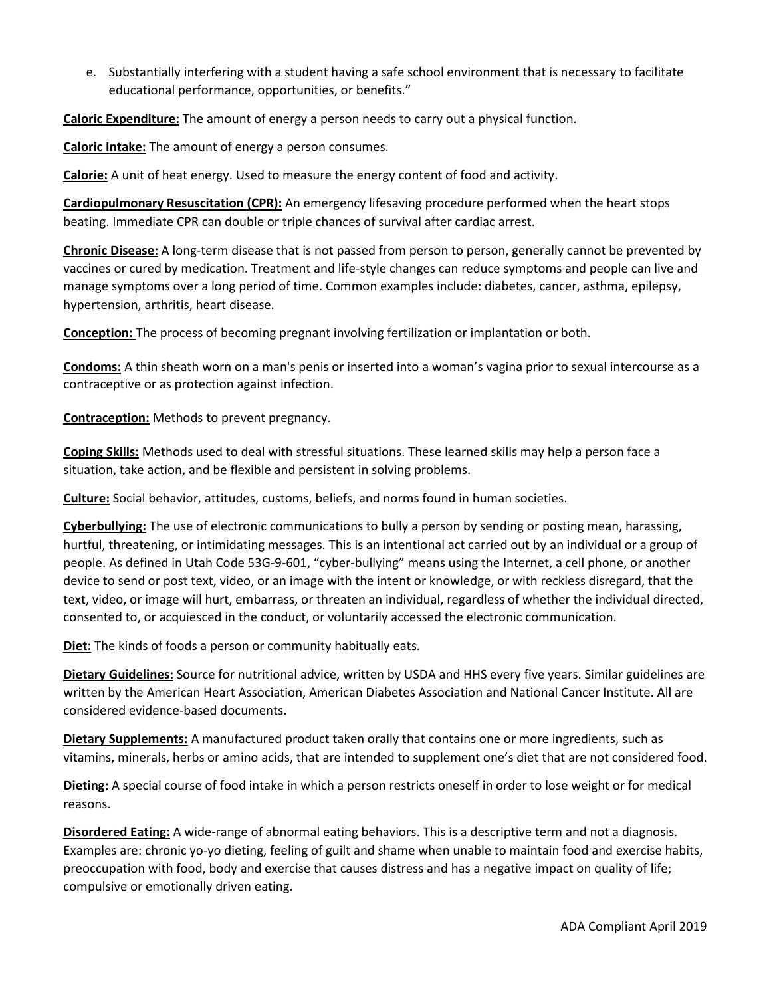e. Substantially interfering with a student having a safe school environment that is necessary to facilitate educational performance, opportunities, or benefits."

**Caloric Expenditure:** The amount of energy a person needs to carry out a physical function.

**Caloric Intake:** The amount of energy a person consumes.

**Calorie:** A unit of heat energy. Used to measure the energy content of food and activity.

**Cardiopulmonary Resuscitation (CPR):** An emergency lifesaving procedure performed when the heart stops beating. Immediate CPR can double or triple chances of survival after cardiac arrest.

**Chronic Disease:** A long-term disease that is not passed from person to person, generally cannot be prevented by vaccines or cured by medication. Treatment and life-style changes can reduce symptoms and people can live and manage symptoms over a long period of time. Common examples include: diabetes, cancer, asthma, epilepsy, hypertension, arthritis, heart disease.

**Conception:** The process of becoming pregnant involvin[g fertilization](https://www.merriam-webster.com/dictionary/fertilization) o[r implantation](https://www.merriam-webster.com/dictionary/implantation) or both.

**Condoms:** A thin sheath worn on a man's penis or inserted into a woman's vagina prior to sexual intercourse as a contraceptive or as protection against infection.

**Contraception:** Methods to prevent pregnancy.

**Coping Skills:** Methods used to deal with stressful situations. These learned skills may help a person face a situation, take action, and be flexible and persistent in solving problems.

**Culture:** Social behavior, attitudes, customs, beliefs, and norms found in human societies.

**Cyberbullying:** The use of electronic communications to bully a person by sending or posting mean, harassing, hurtful, threatening, or intimidating messages. This is an intentional act carried out by an individual or a group of people. As defined in Utah Code 53G-9-601, "cyber-bullying" means using the Internet, a cell phone, or another device to send or post text, video, or an image with the intent or knowledge, or with reckless disregard, that the text, video, or image will hurt, embarrass, or threaten an individual, regardless of whether the individual directed, consented to, or acquiesced in the conduct, or voluntarily accessed the electronic communication.

**Diet:** The kinds of foods a person or community habitually eats.

**Dietary Guidelines:** Source for nutritional advice, written by USDA and HHS every five years. Similar guidelines are written by the American Heart Association, American Diabetes Association and National Cancer Institute. All are considered evidence-based documents.

**Dietary Supplements:** A manufactured product taken orally that contains one or more ingredients, such as vitamins, minerals, herbs or amino acids, that are intended to supplement one's diet that are not considered food.

**Dieting:** A special course of food intake in which a person restricts oneself in order to lose weight or for medical reasons.

**Disordered Eating:** A wide-range of abnormal eating behaviors. This is a descriptive term and not a diagnosis. Examples are: chronic yo-yo dieting, feeling of guilt and shame when unable to maintain food and exercise habits, preoccupation with food, body and exercise that causes distress and has a negative impact on quality of life; compulsive or emotionally driven eating.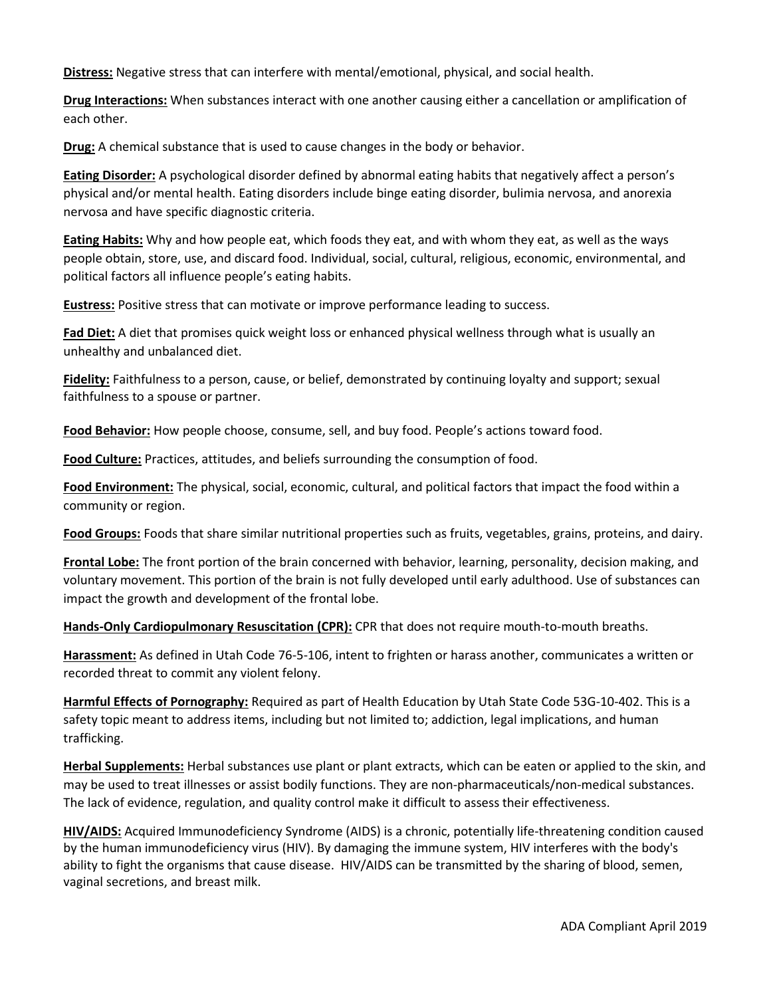**Distress:** Negative stress that can interfere with mental/emotional, physical, and social health.

**Drug Interactions:** When substances interact with one another causing either a cancellation or amplification of each other.

**Drug:** A chemical substance that is used to cause changes in the body or behavior.

**Eating Disorder:** A psychological disorder defined by abnormal eating habits that negatively affect a person's physical and/or mental health. Eating disorders include binge eating disorder, bulimia nervosa, and anorexia nervosa and have specific diagnostic criteria.

**Eating Habits:** Why and how people eat, which foods they eat, and with whom they eat, as well as the ways people obtain, store, use, and discard food. Individual, social, cultural, religious, economic, environmental, and political factors all influence people's eating habits.

**Eustress:** Positive stress that can motivate or improve performance leading to success.

**Fad Diet:** A diet that promises quick weight loss or enhanced physical wellness through what is usually an unhealthy and unbalanced diet.

**Fidelity:** Faithfulness to a person, cause, or belief, demonstrated by continuing loyalty and support; sexual faithfulness to a spouse or partner.

**Food Behavior:** How people choose, consume, sell, and buy food. People's actions toward food.

**Food Culture:** Practices, attitudes, and beliefs surrounding the consumption of food.

**Food Environment:** The physical, social, economic, cultural, and political factors that impact the food within a community or region.

**Food Groups:** Foods that share similar nutritional properties such as fruits, vegetables, grains, proteins, and dairy.

**Frontal Lobe:** The front portion of the brain concerned with behavior, learning, personality, decision making, and voluntary movement. This portion of the brain is not fully developed until early adulthood. Use of substances can impact the growth and development of the frontal lobe.

**Hands-Only Cardiopulmonary Resuscitation (CPR):** CPR that does not require mouth-to-mouth breaths.

**Harassment:** As defined in Utah Code 76-5-106, intent to frighten or harass another, communicates a written or recorded threat to commit any violent felony.

**Harmful Effects of Pornography:** Required as part of Health Education by Utah State Code 53G-10-402. This is a safety topic meant to address items, including but not limited to; addiction, legal implications, and human trafficking.

**Herbal Supplements:** Herbal substances use plant or plant extracts, which can be eaten or applied to the skin, and may be used to treat illnesses or assist bodily functions. They are non-pharmaceuticals/non-medical substances. The lack of evidence, regulation, and quality control make it difficult to assess their effectiveness.

**HIV/AIDS:** Acquired Immunodeficiency Syndrome (AIDS) is a chronic, potentially life-threatening condition caused by the human immunodeficiency virus (HIV). By damaging the immune system, HIV interferes with the body's ability to fight the organisms that cause disease. HIV/AIDS can be transmitted by the sharing of blood, semen, vaginal secretions, and breast milk.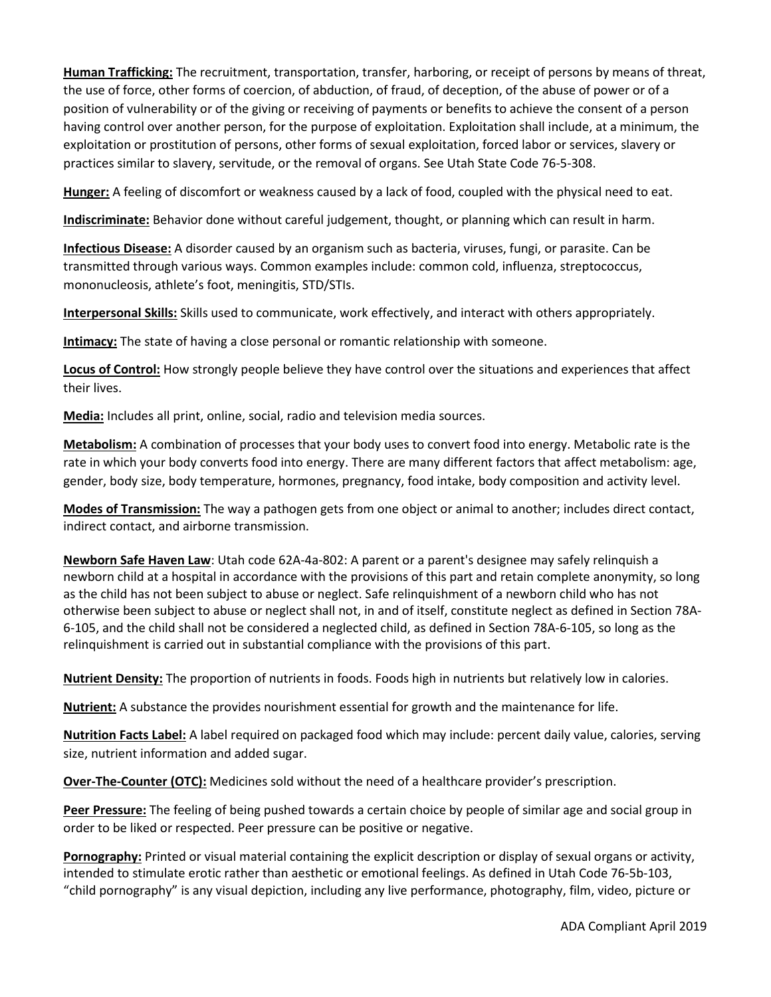**Human Trafficking:** The recruitment, transportation, transfer, harboring, or receipt of persons by means of threat, the use of force, other forms of coercion, of abduction, of fraud, of deception, of the abuse of power or of a position of vulnerability or of the giving or receiving of payments or benefits to achieve the consent of a person having control over another person, for the purpose of exploitation. Exploitation shall include, at a minimum, the exploitation or prostitution of persons, other forms of sexual exploitation, forced labor or services, slavery or practices similar to slavery, servitude, or the removal of organs. See Utah State Code 76-5-308.

**Hunger:** A feeling of discomfort or weakness caused by a lack of food, coupled with the physical need to eat.

**Indiscriminate:** Behavior done without careful judgement, thought, or planning which can result in harm.

**Infectious Disease:** A disorder caused by an organism such as bacteria, viruses, fungi, or parasite. Can be transmitted through various ways. Common examples include: common cold, influenza, streptococcus, mononucleosis, athlete's foot, meningitis, STD/STIs.

**Interpersonal Skills:** Skills used to communicate, work effectively, and interact with others appropriately.

**Intimacy:** Th[e state](https://dictionary.cambridge.org/us/dictionary/english/state) of having a [close](https://dictionary.cambridge.org/us/dictionary/english/close) [personal](https://dictionary.cambridge.org/us/dictionary/english/personal) o[r romantic](https://dictionary.cambridge.org/us/dictionary/english/romantic) [relationship](https://dictionary.cambridge.org/us/dictionary/english/relationship) with someone.

**Locus of Control:** How strongly people believe they have control over the situations and experiences that affect their lives.

**Media:** Includes all print, online, social, radio and television media sources.

**Metabolism:** A combination of processes that your body uses to convert food into energy. Metabolic rate is the rate in which your body converts food into energy. There are many different factors that affect metabolism: age, gender, body size, body temperature, hormones, pregnancy, food intake, body composition and activity level.

**Modes of Transmission:** The way a pathogen gets from one object or animal to another; includes direct contact, indirect contact, and airborne transmission.

**Newborn Safe Haven Law**: Utah code 62A-4a-802: A parent or a parent's designee may safely relinquish a newborn child at a hospital in accordance with the provisions of this part and retain complete anonymity, so long as the child has not been subject to abuse or neglect. Safe relinquishment of a newborn child who has not otherwise been subject to abuse or neglect shall not, in and of itself, constitute neglect as defined in Section 78A-6-105, and the child shall not be considered a neglected child, as defined in Section 78A-6-105, so long as the relinquishment is carried out in substantial compliance with the provisions of this part.

**Nutrient Density:** The proportion of nutrients in foods. Foods high in nutrients but relatively low in calories.

**Nutrient:** A substance the provides nourishment essential for growth and the maintenance for life.

**Nutrition Facts Label:** A label required on packaged food which may include: percent daily value, calories, serving size, nutrient information and added sugar.

**Over-The-Counter (OTC):** Medicines sold without the need of a healthcare provider's prescription.

**Peer Pressure:** The feeling of being pushed towards a certain choice by people of similar age and social group in order to be liked or respected. Peer pressure can be positive or negative.

**Pornography:** Printed or visual material containing the explicit description or display of sexual organs or activity, intended to stimulate erotic rather than aesthetic or emotional feelings. As defined in Utah Code 76-5b-103, "child pornography" is any visual depiction, including any live performance, photography, film, video, picture or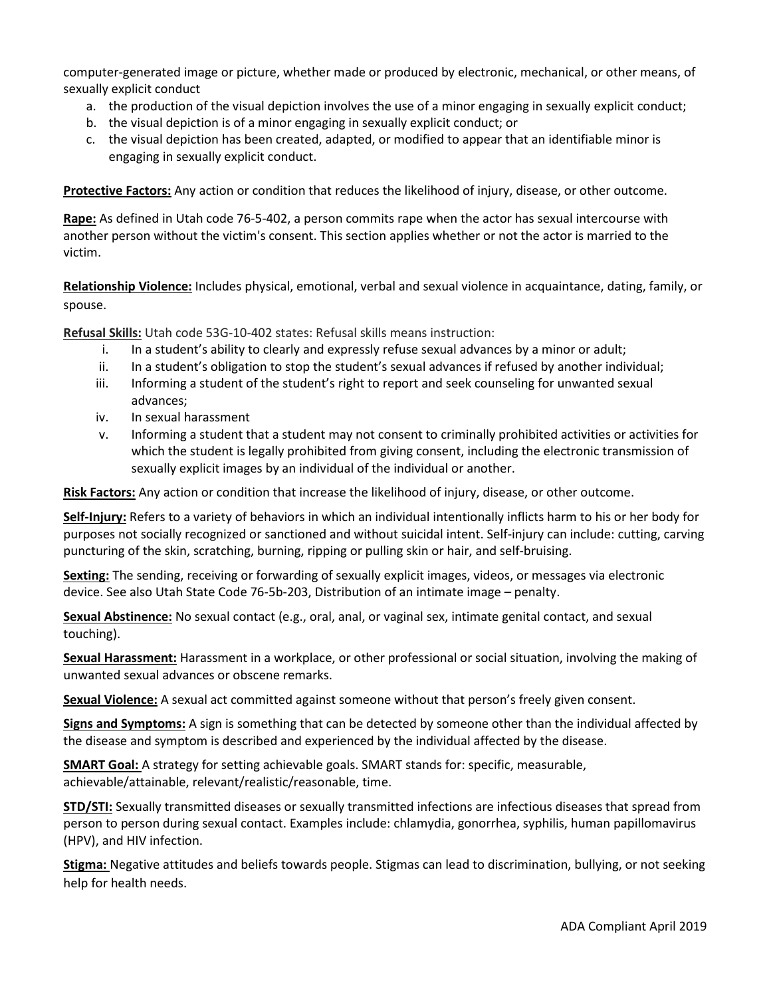computer-generated image or picture, whether made or produced by electronic, mechanical, or other means, of sexually explicit conduct

- a. the production of the visual depiction involves the use of a minor engaging in sexually explicit conduct;
- b. the visual depiction is of a minor engaging in sexually explicit conduct; or
- c. the visual depiction has been created, adapted, or modified to appear that an identifiable minor is engaging in sexually explicit conduct.

**Protective Factors:** Any action or condition that reduces the likelihood of injury, disease, or other outcome.

**Rape:** As defined in Utah code 76-5-402, a person commits rape when the actor has sexual intercourse with another person without the victim's consent. This section applies whether or not the actor is married to the victim.

**Relationship Violence:** Includes physical, emotional, verbal and sexual violence in acquaintance, dating, family, or spouse.

**Refusal Skills:** Utah code 53G-10-402 states: Refusal skills means instruction:

- i. In a student's ability to clearly and expressly refuse sexual advances by a minor or adult;
- ii. In a student's obligation to stop the student's sexual advances if refused by another individual;
- iii. Informing a student of the student's right to report and seek counseling for unwanted sexual advances;
- iv. In sexual harassment
- v. Informing a student that a student may not consent to criminally prohibited activities or activities for which the student is legally prohibited from giving consent, including the electronic transmission of sexually explicit images by an individual of the individual or another.

**Risk Factors:** Any action or condition that increase the likelihood of injury, disease, or other outcome.

**Self-Injury:** Refers to a variety of behaviors in which an individual intentionally inflicts harm to his or her body for purposes not socially recognized or sanctioned and without suicidal intent. Self-injury can include: cutting, carving puncturing of the skin, scratching, burning, ripping or pulling skin or hair, and self-bruising.

**Sexting:** The sending, receiving or forwarding of sexually explicit images, videos, or messages via electronic device. See also Utah State Code 76-5b-203, Distribution of an intimate image – penalty.

**Sexual Abstinence:** No sexual contact (e.g., oral, anal, or vaginal sex, intimate genital contact, and sexual touching).

**Sexual Harassment:** Harassment in a workplace, or other professional or social situation, involving the making of unwanted sexual advances or obscene remarks.

**Sexual Violence:** A sexual act committed against someone without that person's freely given consent.

**Signs and Symptoms:** A sign is something that can be detected by someone other than the individual affected by the disease and symptom is described and experienced by the individual affected by the disease.

**SMART Goal:** A strategy for setting achievable goals. SMART stands for: specific, measurable, achievable/attainable, relevant/realistic/reasonable, time.

**STD/STI:** Sexually transmitted diseases or sexually transmitted infections are infectious diseases that spread from person to person during sexual contact. Examples include: chlamydia, gonorrhea, syphilis, human papillomavirus (HPV), and HIV infection.

**Stigma:** Negative attitudes and beliefs towards people. Stigmas can lead to discrimination, bullying, or not seeking help for health needs.